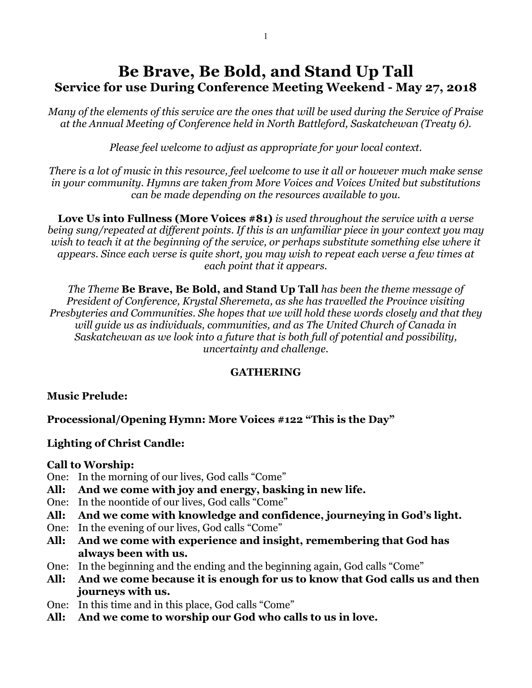# **Be Brave, Be Bold, and Stand Up Tall Service for use During Conference Meeting Weekend - May 27, 2018**

*Many of the elements of this service are the ones that will be used during the Service of Praise at the Annual Meeting of Conference held in North Battleford, Saskatchewan (Treaty 6).*

*Please feel welcome to adjust as appropriate for your local context.* 

*There is a lot of music in this resource, feel welcome to use it all or however much make sense in your community. Hymns are taken from More Voices and Voices United but substitutions can be made depending on the resources available to you.*

**Love Us into Fullness (More Voices #81)** *is used throughout the service with a verse being sung/repeated at different points. If this is an unfamiliar piece in your context you may wish to teach it at the beginning of the service, or perhaps substitute something else where it appears. Since each verse is quite short, you may wish to repeat each verse a few times at each point that it appears.* 

*The Theme* **Be Brave, Be Bold, and Stand Up Tall** *has been the theme message of President of Conference, Krystal Sheremeta, as she has travelled the Province visiting Presbyteries and Communities. She hopes that we will hold these words closely and that they will guide us as individuals, communities, and as The United Church of Canada in Saskatchewan as we look into a future that is both full of potential and possibility, uncertainty and challenge.*

## **GATHERING**

## **Music Prelude:**

**Processional/Opening Hymn: More Voices #122 "This is the Day"**

## **Lighting of Christ Candle:**

## **Call to Worship:**

- One: In the morning of our lives, God calls "Come"
- **All: And we come with joy and energy, basking in new life.**
- One: In the noontide of our lives, God calls "Come"
- **All: And we come with knowledge and confidence, journeying in God's light.**
- One: In the evening of our lives, God calls "Come"
- **All: And we come with experience and insight, remembering that God has always been with us.**
- One: In the beginning and the ending and the beginning again, God calls "Come"
- **All: And we come because it is enough for us to know that God calls us and then journeys with us.**
- One: In this time and in this place, God calls "Come"
- **All: And we come to worship our God who calls to us in love.**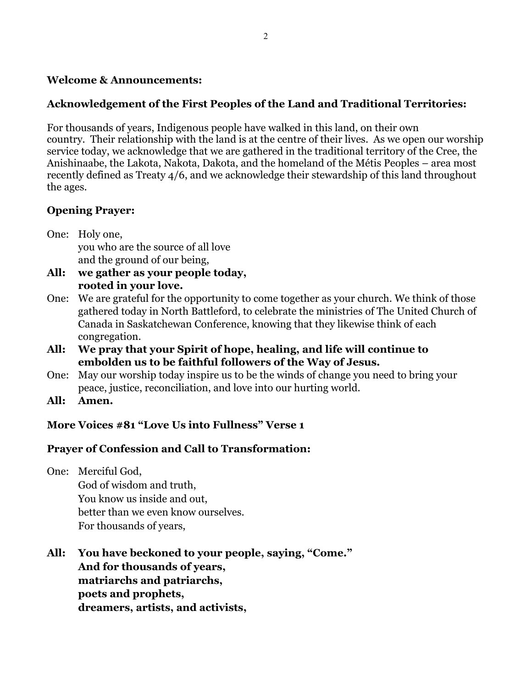## **Welcome & Announcements:**

## **Acknowledgement of the First Peoples of the Land and Traditional Territories:**

For thousands of years, Indigenous people have walked in this land, on their own country. Their relationship with the land is at the centre of their lives. As we open our worship service today, we acknowledge that we are gathered in the traditional territory of the Cree, the Anishinaabe, the Lakota, Nakota, Dakota, and the homeland of the Métis Peoples – area most recently defined as Treaty 4/6, and we acknowledge their stewardship of this land throughout the ages.

## **Opening Prayer:**

One: Holy one, you who are the source of all love and the ground of our being,

- **All: we gather as your people today, rooted in your love.**
- One: We are grateful for the opportunity to come together as your church. We think of those gathered today in North Battleford, to celebrate the ministries of The United Church of Canada in Saskatchewan Conference, knowing that they likewise think of each congregation.
- **All: We pray that your Spirit of hope, healing, and life will continue to embolden us to be faithful followers of the Way of Jesus.**
- One: May our worship today inspire us to be the winds of change you need to bring your peace, justice, reconciliation, and love into our hurting world.
- **All: Amen.**

## **More Voices #81 "Love Us into Fullness" Verse 1**

## **Prayer of Confession and Call to Transformation:**

One: Merciful God, God of wisdom and truth, You know us inside and out, better than we even know ourselves. For thousands of years,

**All: You have beckoned to your people, saying, "Come." And for thousands of years, matriarchs and patriarchs, poets and prophets, dreamers, artists, and activists,**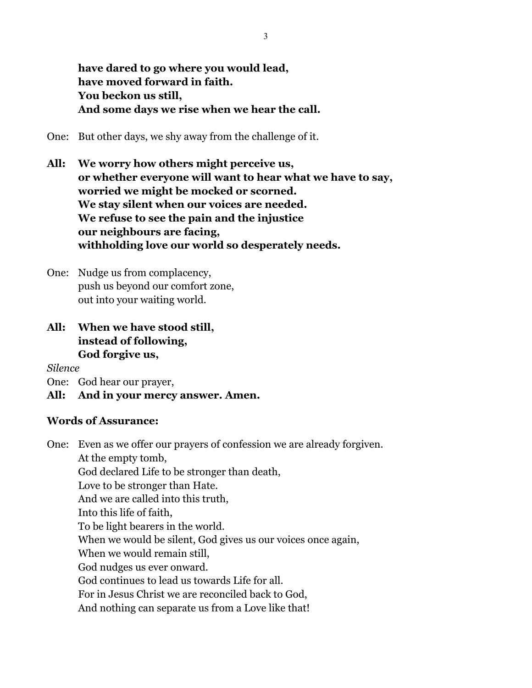**have dared to go where you would lead, have moved forward in faith. You beckon us still, And some days we rise when we hear the call.**

One: But other days, we shy away from the challenge of it.

**All: We worry how others might perceive us, or whether everyone will want to hear what we have to say, worried we might be mocked or scorned. We stay silent when our voices are needed. We refuse to see the pain and the injustice our neighbours are facing, withholding love our world so desperately needs.**

One: Nudge us from complacency, push us beyond our comfort zone, out into your waiting world.

**All: When we have stood still, instead of following, God forgive us,**

*Silence*

One: God hear our prayer,

#### **All: And in your mercy answer. Amen.**

#### **Words of Assurance:**

One: Even as we offer our prayers of confession we are already forgiven. At the empty tomb, God declared Life to be stronger than death, Love to be stronger than Hate. And we are called into this truth, Into this life of faith, To be light bearers in the world. When we would be silent, God gives us our voices once again, When we would remain still, God nudges us ever onward. God continues to lead us towards Life for all. For in Jesus Christ we are reconciled back to God, And nothing can separate us from a Love like that!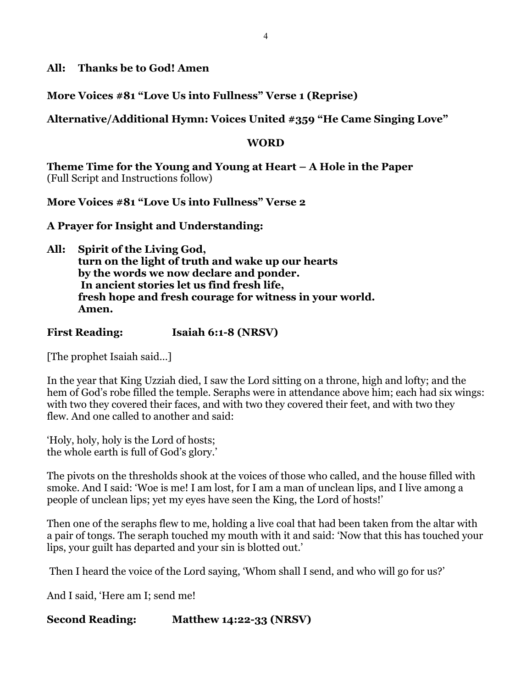**All: Thanks be to God! Amen**

**More Voices #81 "Love Us into Fullness" Verse 1 (Reprise)**

**Alternative/Additional Hymn: Voices United #359 "He Came Singing Love"** 

## **WORD**

**Theme Time for the Young and Young at Heart – A Hole in the Paper**  (Full Script and Instructions follow)

**More Voices #81 "Love Us into Fullness" Verse 2**

**A Prayer for Insight and Understanding:**

**All: Spirit of the Living God, turn on the light of truth and wake up our hearts by the words we now declare and ponder. In ancient stories let us find fresh life, fresh hope and fresh courage for witness in your world. Amen.**

**First Reading: Isaiah 6:1-8 (NRSV)**

[The prophet Isaiah said…]

In the year that King Uzziah died, I saw the Lord sitting on a throne, high and lofty; and the hem of God's robe filled the temple. Seraphs were in attendance above him; each had six wings: with two they covered their faces, and with two they covered their feet, and with two they flew. And one called to another and said:

'Holy, holy, holy is the Lord of hosts; the whole earth is full of God's glory.'

The pivots on the thresholds shook at the voices of those who called, and the house filled with smoke. And I said: 'Woe is me! I am lost, for I am a man of unclean lips, and I live among a people of unclean lips; yet my eyes have seen the King, the Lord of hosts!'

Then one of the seraphs flew to me, holding a live coal that had been taken from the altar with a pair of tongs. The seraph touched my mouth with it and said: 'Now that this has touched your lips, your guilt has departed and your sin is blotted out.'

Then I heard the voice of the Lord saying, 'Whom shall I send, and who will go for us?'

And I said, 'Here am I; send me!

**Second Reading: Matthew 14:22-33 (NRSV)**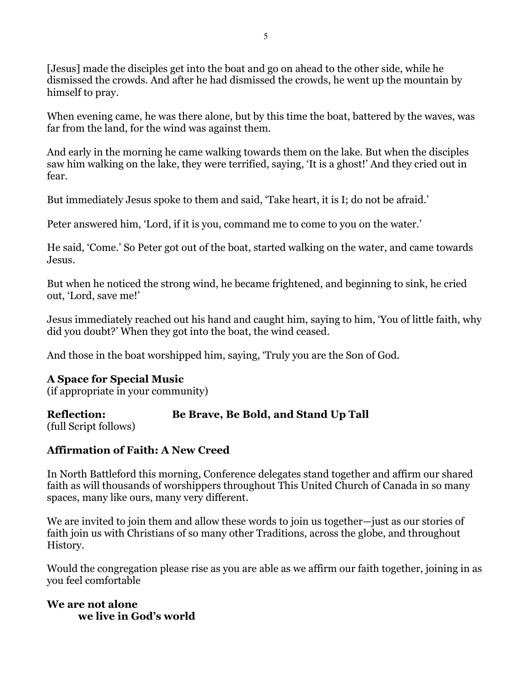[Jesus] made the disciples get into the boat and go on ahead to the other side, while he dismissed the crowds. And after he had dismissed the crowds, he went up the mountain by himself to pray.

When evening came, he was there alone, but by this time the boat, battered by the waves, was far from the land, for the wind was against them.

And early in the morning he came walking towards them on the lake. But when the disciples saw him walking on the lake, they were terrified, saying, 'It is a ghost!' And they cried out in fear.

But immediately Jesus spoke to them and said, 'Take heart, it is I; do not be afraid.'

Peter answered him, 'Lord, if it is you, command me to come to you on the water.'

He said, 'Come.' So Peter got out of the boat, started walking on the water, and came towards Jesus.

But when he noticed the strong wind, he became frightened, and beginning to sink, he cried out, 'Lord, save me!'

Jesus immediately reached out his hand and caught him, saying to him, 'You of little faith, why did you doubt?' When they got into the boat, the wind ceased.

And those in the boat worshipped him, saying, 'Truly you are the Son of God.

## **A Space for Special Music**

(if appropriate in your community)

## **Reflection: Be Brave, Be Bold, and Stand Up Tall**

(full Script follows)

# **Affirmation of Faith: A New Creed**

In North Battleford this morning, Conference delegates stand together and affirm our shared faith as will thousands of worshippers throughout This United Church of Canada in so many spaces, many like ours, many very different.

We are invited to join them and allow these words to join us together—just as our stories of faith join us with Christians of so many other Traditions, across the globe, and throughout History.

Would the congregation please rise as you are able as we affirm our faith together, joining in as you feel comfortable

## **We are not alone we live in God's world**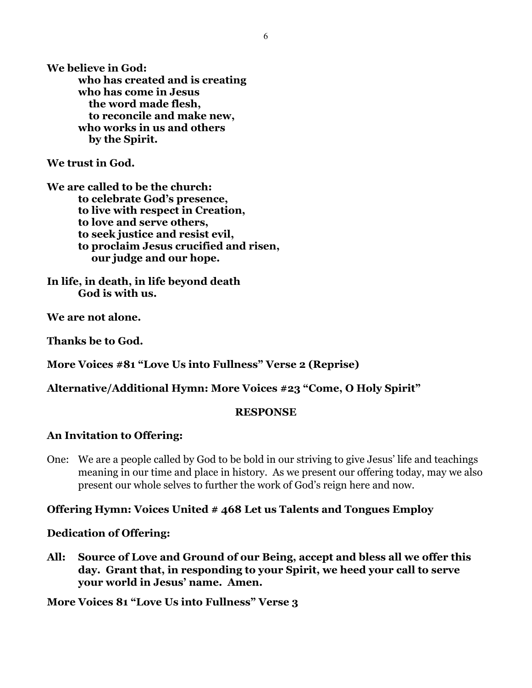**We believe in God: who has created and is creating who has come in Jesus the word made flesh, to reconcile and make new, who works in us and others by the Spirit.**

**We trust in God.**

**We are called to be the church: to celebrate God's presence, to live with respect in Creation, to love and serve others, to seek justice and resist evil, to proclaim Jesus crucified and risen, our judge and our hope.**

**In life, in death, in life beyond death God is with us.**

**We are not alone.**

**Thanks be to God.**

**More Voices #81 "Love Us into Fullness" Verse 2 (Reprise)**

**Alternative/Additional Hymn: More Voices #23 "Come, O Holy Spirit"** 

#### **RESPONSE**

#### **An Invitation to Offering:**

One: We are a people called by God to be bold in our striving to give Jesus' life and teachings meaning in our time and place in history. As we present our offering today, may we also present our whole selves to further the work of God's reign here and now.

#### **Offering Hymn: Voices United # 468 Let us Talents and Tongues Employ**

#### **Dedication of Offering:**

**All: Source of Love and Ground of our Being, accept and bless all we offer this day. Grant that, in responding to your Spirit, we heed your call to serve your world in Jesus' name. Amen.**

**More Voices 81 "Love Us into Fullness" Verse 3**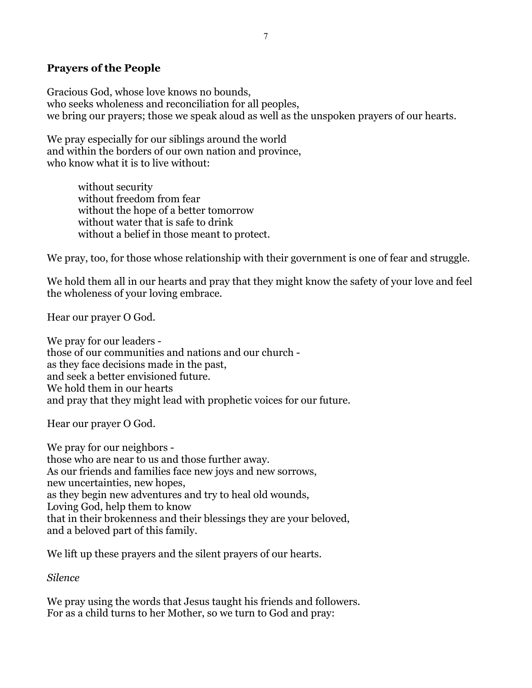## **Prayers of the People**

Gracious God, whose love knows no bounds, who seeks wholeness and reconciliation for all peoples, we bring our prayers; those we speak aloud as well as the unspoken prayers of our hearts.

We pray especially for our siblings around the world and within the borders of our own nation and province, who know what it is to live without:

> without security without freedom from fear without the hope of a better tomorrow without water that is safe to drink without a belief in those meant to protect.

We pray, too, for those whose relationship with their government is one of fear and struggle.

We hold them all in our hearts and pray that they might know the safety of your love and feel the wholeness of your loving embrace.

Hear our prayer O God.

We pray for our leaders those of our communities and nations and our church as they face decisions made in the past, and seek a better envisioned future. We hold them in our hearts and pray that they might lead with prophetic voices for our future.

Hear our prayer O God.

We pray for our neighbors those who are near to us and those further away. As our friends and families face new joys and new sorrows, new uncertainties, new hopes, as they begin new adventures and try to heal old wounds, Loving God, help them to know that in their brokenness and their blessings they are your beloved, and a beloved part of this family.

We lift up these prayers and the silent prayers of our hearts.

*Silence*

We pray using the words that Jesus taught his friends and followers. For as a child turns to her Mother, so we turn to God and pray: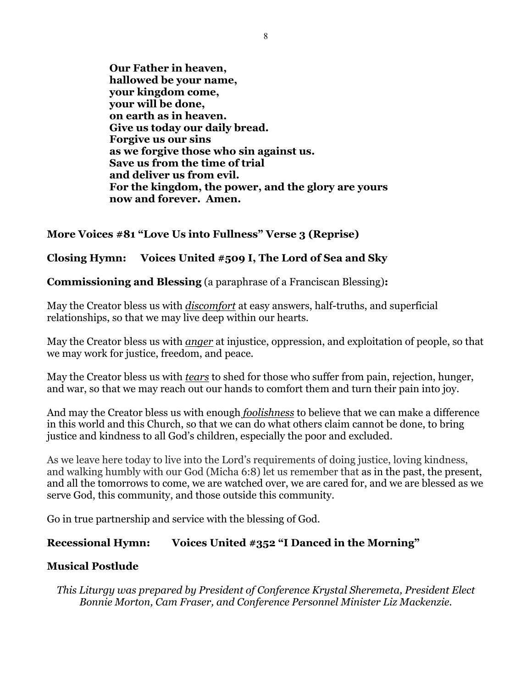**Our Father in heaven, hallowed be your name, your kingdom come, your will be done, on earth as in heaven. Give us today our daily bread. Forgive us our sins as we forgive those who sin against us. Save us from the time of trial and deliver us from evil. For the kingdom, the power, and the glory are yours now and forever. Amen.**

## **More Voices #81 "Love Us into Fullness" Verse 3 (Reprise)**

## **Closing Hymn: Voices United #509 I, The Lord of Sea and Sky**

**Commissioning and Blessing** (a paraphrase of a Franciscan Blessing)**:**

May the Creator bless us with *discomfort* at easy answers, half-truths, and superficial relationships, so that we may live deep within our hearts.

May the Creator bless us with *anger* at injustice, oppression, and exploitation of people, so that we may work for justice, freedom, and peace.

May the Creator bless us with *tears* to shed for those who suffer from pain, rejection, hunger, and war, so that we may reach out our hands to comfort them and turn their pain into joy.

And may the Creator bless us with enough *foolishness* to believe that we can make a difference in this world and this Church, so that we can do what others claim cannot be done, to bring justice and kindness to all God's children, especially the poor and excluded.

As we leave here today to live into the Lord's requirements of doing justice, loving kindness, and walking humbly with our God (Micha 6:8) let us remember that as in the past, the present, and all the tomorrows to come, we are watched over, we are cared for, and we are blessed as we serve God, this community, and those outside this community.

Go in true partnership and service with the blessing of God.

## **Recessional Hymn: Voices United #352 "I Danced in the Morning"**

## **Musical Postlude**

*This Liturgy was prepared by President of Conference Krystal Sheremeta, President Elect Bonnie Morton, Cam Fraser, and Conference Personnel Minister Liz Mackenzie.*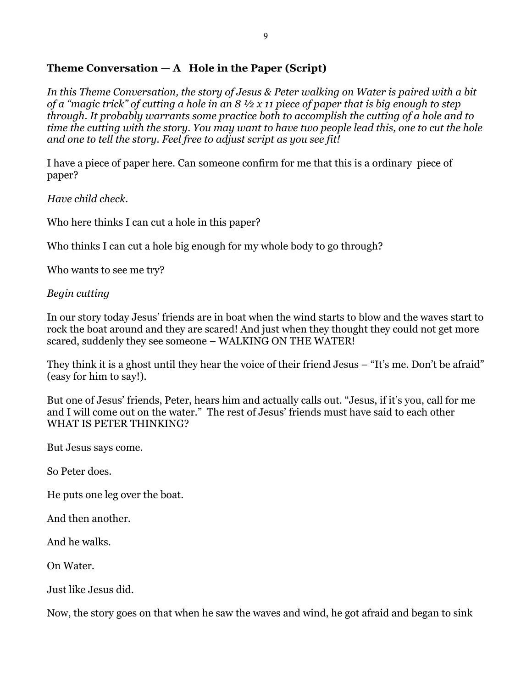## **Theme Conversation — A Hole in the Paper (Script)**

*In this Theme Conversation, the story of Jesus & Peter walking on Water is paired with a bit of a "magic trick" of cutting a hole in an 8 ½ x 11 piece of paper that is big enough to step through. It probably warrants some practice both to accomplish the cutting of a hole and to time the cutting with the story. You may want to have two people lead this, one to cut the hole and one to tell the story. Feel free to adjust script as you see fit!*

I have a piece of paper here. Can someone confirm for me that this is a ordinary piece of paper?

*Have child check.*

Who here thinks I can cut a hole in this paper?

Who thinks I can cut a hole big enough for my whole body to go through?

Who wants to see me try?

## *Begin cutting*

In our story today Jesus' friends are in boat when the wind starts to blow and the waves start to rock the boat around and they are scared! And just when they thought they could not get more scared, suddenly they see someone – WALKING ON THE WATER!

They think it is a ghost until they hear the voice of their friend Jesus – "It's me. Don't be afraid" (easy for him to say!).

But one of Jesus' friends, Peter, hears him and actually calls out. "Jesus, if it's you, call for me and I will come out on the water." The rest of Jesus' friends must have said to each other WHAT IS PETER THINKING?

But Jesus says come.

So Peter does.

He puts one leg over the boat.

And then another.

And he walks.

On Water.

Just like Jesus did.

Now, the story goes on that when he saw the waves and wind, he got afraid and began to sink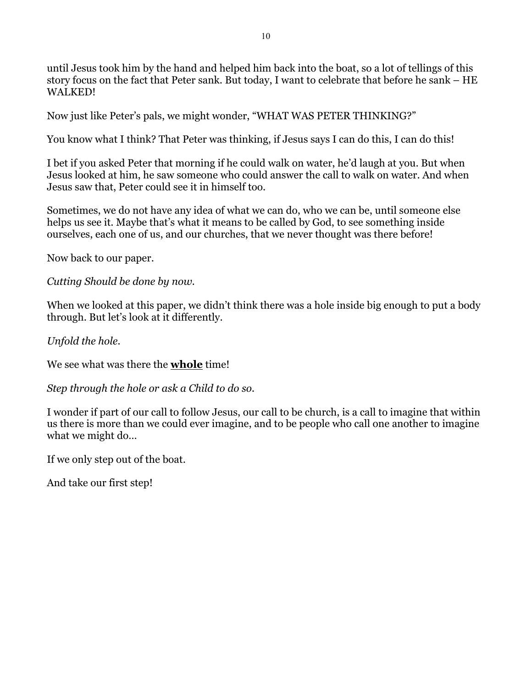until Jesus took him by the hand and helped him back into the boat, so a lot of tellings of this story focus on the fact that Peter sank. But today, I want to celebrate that before he sank – HE WALKED!

Now just like Peter's pals, we might wonder, "WHAT WAS PETER THINKING?"

You know what I think? That Peter was thinking, if Jesus says I can do this, I can do this!

I bet if you asked Peter that morning if he could walk on water, he'd laugh at you. But when Jesus looked at him, he saw someone who could answer the call to walk on water. And when Jesus saw that, Peter could see it in himself too.

Sometimes, we do not have any idea of what we can do, who we can be, until someone else helps us see it. Maybe that's what it means to be called by God, to see something inside ourselves, each one of us, and our churches, that we never thought was there before!

Now back to our paper.

*Cutting Should be done by now.*

When we looked at this paper, we didn't think there was a hole inside big enough to put a body through. But let's look at it differently.

*Unfold the hole.*

We see what was there the **whole** time!

*Step through the hole or ask a Child to do so.*

I wonder if part of our call to follow Jesus, our call to be church, is a call to imagine that within us there is more than we could ever imagine, and to be people who call one another to imagine what we might do…

If we only step out of the boat.

And take our first step!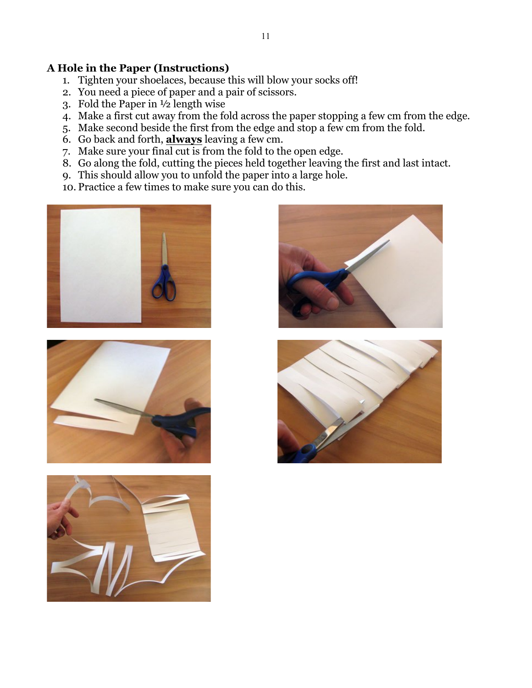## **A Hole in the Paper (Instructions)**

- 1. Tighten your shoelaces, because this will blow your socks off!
- 2. You need a piece of paper and a pair of scissors.
- 3. Fold the Paper in ½ length wise
- 4. Make a first cut away from the fold across the paper stopping a few cm from the edge.
- 5. Make second beside the first from the edge and stop a few cm from the fold.
- 6. Go back and forth, **always** leaving a few cm.
- 7. Make sure your final cut is from the fold to the open edge.
- 8. Go along the fold, cutting the pieces held together leaving the first and last intact.
- 9. This should allow you to unfold the paper into a large hole.
- 10. Practice a few times to make sure you can do this.









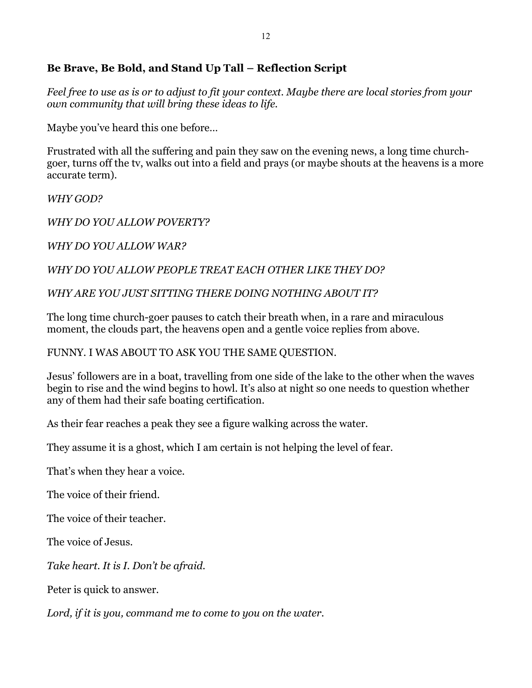## **Be Brave, Be Bold, and Stand Up Tall – Reflection Script**

*Feel free to use as is or to adjust to fit your context. Maybe there are local stories from your own community that will bring these ideas to life.* 

Maybe you've heard this one before…

Frustrated with all the suffering and pain they saw on the evening news, a long time churchgoer, turns off the tv, walks out into a field and prays (or maybe shouts at the heavens is a more accurate term).

*WHY GOD?*

*WHY DO YOU ALLOW POVERTY?*

*WHY DO YOU ALLOW WAR?*

*WHY DO YOU ALLOW PEOPLE TREAT EACH OTHER LIKE THEY DO?*

*WHY ARE YOU JUST SITTING THERE DOING NOTHING ABOUT IT?*

The long time church-goer pauses to catch their breath when, in a rare and miraculous moment, the clouds part, the heavens open and a gentle voice replies from above.

## FUNNY. I WAS ABOUT TO ASK YOU THE SAME QUESTION.

Jesus' followers are in a boat, travelling from one side of the lake to the other when the waves begin to rise and the wind begins to howl. It's also at night so one needs to question whether any of them had their safe boating certification.

As their fear reaches a peak they see a figure walking across the water.

They assume it is a ghost, which I am certain is not helping the level of fear.

That's when they hear a voice.

The voice of their friend.

The voice of their teacher.

The voice of Jesus.

*Take heart. It is I. Don't be afraid.*

Peter is quick to answer.

*Lord, if it is you, command me to come to you on the water.*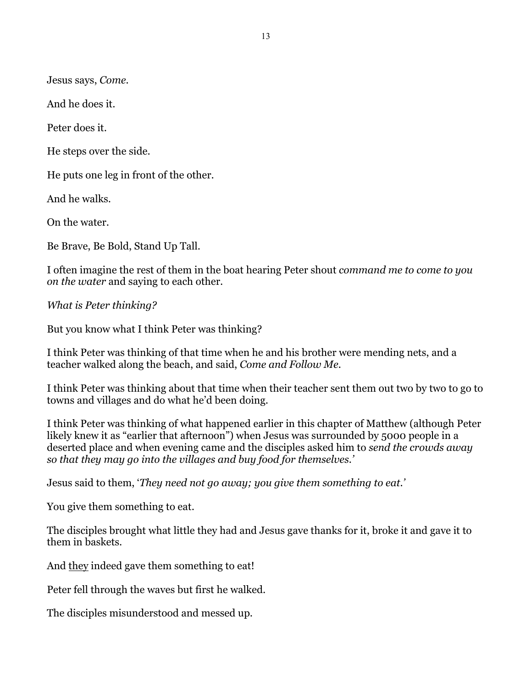Jesus says, *Come.*

And he does it.

Peter does it.

He steps over the side.

He puts one leg in front of the other.

And he walks.

On the water.

Be Brave, Be Bold, Stand Up Tall.

I often imagine the rest of them in the boat hearing Peter shout *command me to come to you on the water* and saying to each other.

*What is Peter thinking?*

But you know what I think Peter was thinking?

I think Peter was thinking of that time when he and his brother were mending nets, and a teacher walked along the beach, and said, *Come and Follow Me.* 

I think Peter was thinking about that time when their teacher sent them out two by two to go to towns and villages and do what he'd been doing.

I think Peter was thinking of what happened earlier in this chapter of Matthew (although Peter likely knew it as "earlier that afternoon") when Jesus was surrounded by 5000 people in a deserted place and when evening came and the disciples asked him to *send the crowds away so that they may go into the villages and buy food for themselves.'*

Jesus said to them, '*They need not go away; you give them something to eat.'*

You give them something to eat.

The disciples brought what little they had and Jesus gave thanks for it, broke it and gave it to them in baskets.

And they indeed gave them something to eat!

Peter fell through the waves but first he walked.

The disciples misunderstood and messed up.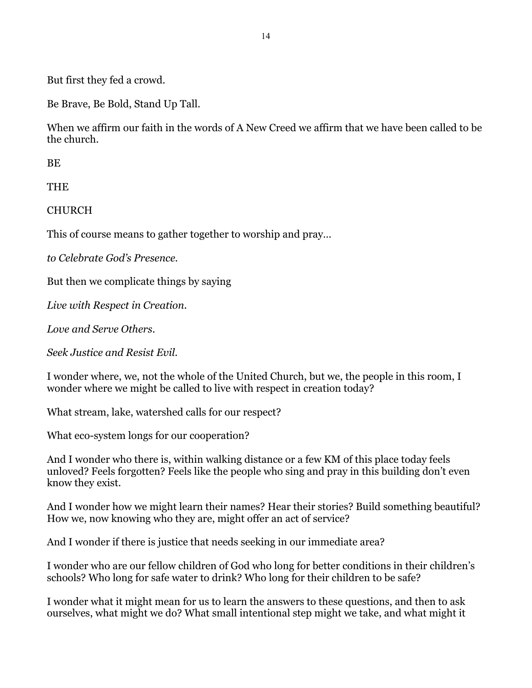But first they fed a crowd.

Be Brave, Be Bold, Stand Up Tall.

When we affirm our faith in the words of A New Creed we affirm that we have been called to be the church.

BE

**THE** 

CHURCH

This of course means to gather together to worship and pray…

*to Celebrate God's Presence.* 

But then we complicate things by saying

*Live with Respect in Creation.*

*Love and Serve Others.*

*Seek Justice and Resist Evil.* 

I wonder where, we, not the whole of the United Church, but we, the people in this room, I wonder where we might be called to live with respect in creation today?

What stream, lake, watershed calls for our respect?

What eco-system longs for our cooperation?

And I wonder who there is, within walking distance or a few KM of this place today feels unloved? Feels forgotten? Feels like the people who sing and pray in this building don't even know they exist.

And I wonder how we might learn their names? Hear their stories? Build something beautiful? How we, now knowing who they are, might offer an act of service?

And I wonder if there is justice that needs seeking in our immediate area?

I wonder who are our fellow children of God who long for better conditions in their children's schools? Who long for safe water to drink? Who long for their children to be safe?

I wonder what it might mean for us to learn the answers to these questions, and then to ask ourselves, what might we do? What small intentional step might we take, and what might it